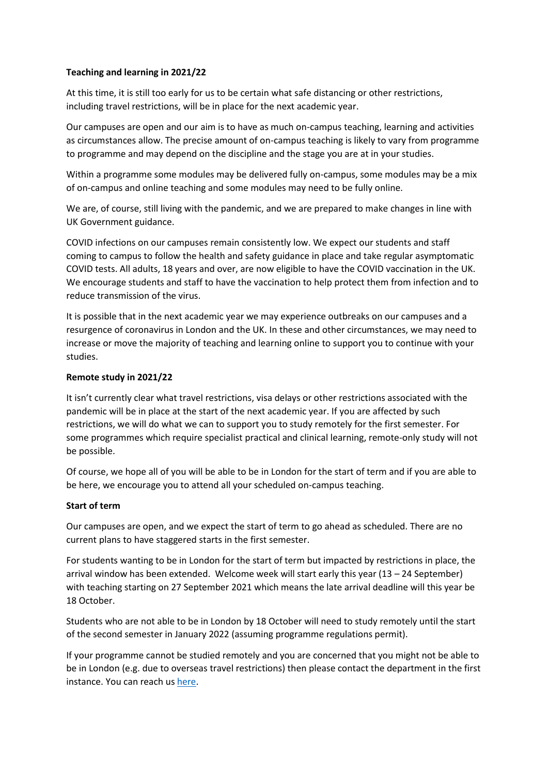### **Teaching and learning in 2021/22**

At this time, it is still too early for us to be certain what safe distancing or other restrictions, including travel restrictions, will be in place for the next academic year.

Our campuses are open and our aim is to have as much on-campus teaching, learning and activities as circumstances allow. The precise amount of on-campus teaching is likely to vary from programme to programme and may depend on the discipline and the stage you are at in your studies.

Within a programme some modules may be delivered fully on-campus, some modules may be a mix of on-campus and online teaching and some modules may need to be fully online.

We are, of course, still living with the pandemic, and we are prepared to make changes in line with UK Government guidance.

COVID infections on our campuses remain consistently low. We expect our students and staff coming to campus to follow the health and safety guidance in place and take regular asymptomatic COVID tests. All adults, 18 years and over, are now eligible to have the COVID vaccination in the UK. We encourage students and staff to have the vaccination to help protect them from infection and to reduce transmission of the virus.

It is possible that in the next academic year we may experience outbreaks on our campuses and a resurgence of coronavirus in London and the UK. In these and other circumstances, we may need to increase or move the majority of teaching and learning online to support you to continue with your studies.

## **Remote study in 2021/22**

It isn't currently clear what travel restrictions, visa delays or other restrictions associated with the pandemic will be in place at the start of the next academic year. If you are affected by such restrictions, we will do what we can to support you to study remotely for the first semester. For some programmes which require specialist practical and clinical learning, remote-only study will not be possible.

Of course, we hope all of you will be able to be in London for the start of term and if you are able to be here, we encourage you to attend all your scheduled on-campus teaching.

#### **Start of term**

Our campuses are open, and we expect the start of term to go ahead as scheduled. There are no current plans to have staggered starts in the first semester.

For students wanting to be in London for the start of term but impacted by restrictions in place, the arrival window has been extended. Welcome week will start early this year (13 – 24 September) with teaching starting on 27 September 2021 which means the late arrival deadline will this year be 18 October.

Students who are not able to be in London by 18 October will need to study remotely until the start of the second semester in January 2022 (assuming programme regulations permit).

If your programme cannot be studied remotely and you are concerned that you might not be able to be in London (e.g. due to overseas travel restrictions) then please contact the department in the first instance. You can reach u[s here.](https://www.kcl.ac.uk/political-economy/contact-us)